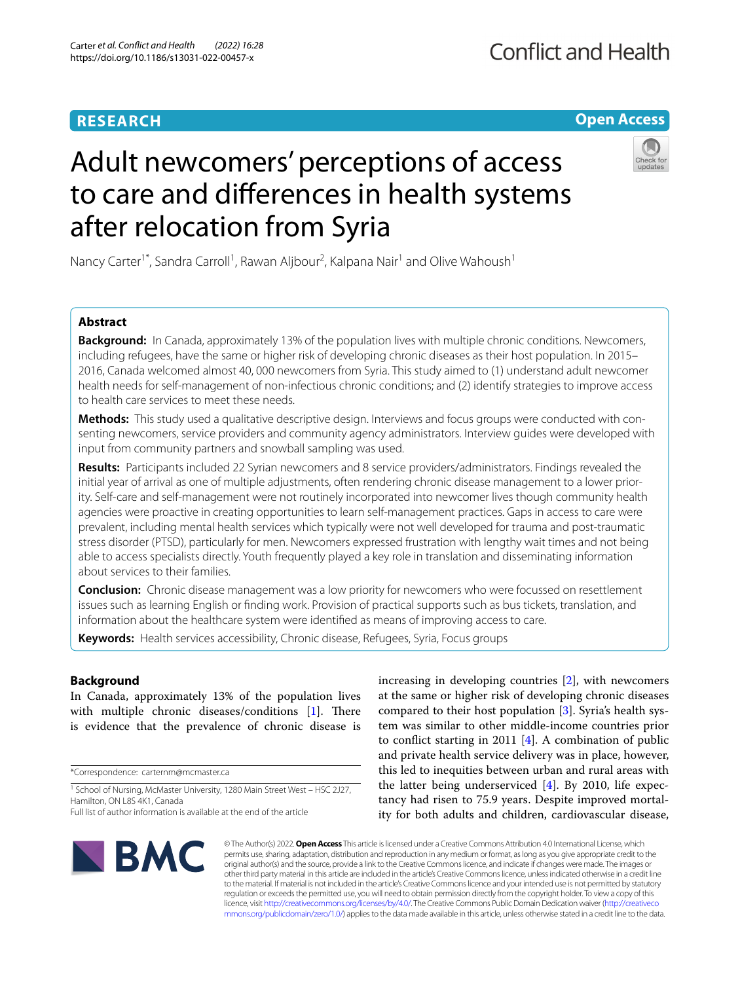# **RESEARCH**

**Open Access**

# Adult newcomers' perceptions of access to care and diferences in health systems after relocation from Syria



Nancy Carter<sup>1\*</sup>, Sandra Carroll<sup>1</sup>, Rawan Aljbour<sup>2</sup>, Kalpana Nair<sup>1</sup> and Olive Wahoush<sup>1</sup>

# **Abstract**

**Background:** In Canada, approximately 13% of the population lives with multiple chronic conditions. Newcomers, including refugees, have the same or higher risk of developing chronic diseases as their host population. In 2015– 2016, Canada welcomed almost 40, 000 newcomers from Syria. This study aimed to (1) understand adult newcomer health needs for self-management of non-infectious chronic conditions; and (2) identify strategies to improve access to health care services to meet these needs.

**Methods:** This study used a qualitative descriptive design. Interviews and focus groups were conducted with consenting newcomers, service providers and community agency administrators. Interview guides were developed with input from community partners and snowball sampling was used.

**Results:** Participants included 22 Syrian newcomers and 8 service providers/administrators. Findings revealed the initial year of arrival as one of multiple adjustments, often rendering chronic disease management to a lower priority. Self-care and self-management were not routinely incorporated into newcomer lives though community health agencies were proactive in creating opportunities to learn self-management practices. Gaps in access to care were prevalent, including mental health services which typically were not well developed for trauma and post-traumatic stress disorder (PTSD), particularly for men. Newcomers expressed frustration with lengthy wait times and not being able to access specialists directly. Youth frequently played a key role in translation and disseminating information about services to their families.

**Conclusion:** Chronic disease management was a low priority for newcomers who were focussed on resettlement issues such as learning English or fnding work. Provision of practical supports such as bus tickets, translation, and information about the healthcare system were identifed as means of improving access to care.

**Keywords:** Health services accessibility, Chronic disease, Refugees, Syria, Focus groups

# **Background**

In Canada, approximately 13% of the population lives with multiple chronic diseases/conditions  $[1]$  $[1]$ . There is evidence that the prevalence of chronic disease is

\*Correspondence: carternm@mcmaster.ca

increasing in developing countries [[2\]](#page-7-1), with newcomers at the same or higher risk of developing chronic diseases compared to their host population [\[3\]](#page-7-2). Syria's health system was similar to other middle-income countries prior to confict starting in 2011 [[4\]](#page-7-3). A combination of public and private health service delivery was in place, however, this led to inequities between urban and rural areas with the latter being underserviced [[4\]](#page-7-3). By 2010, life expectancy had risen to 75.9 years. Despite improved mortality for both adults and children, cardiovascular disease,



© The Author(s) 2022. **Open Access** This article is licensed under a Creative Commons Attribution 4.0 International License, which permits use, sharing, adaptation, distribution and reproduction in any medium or format, as long as you give appropriate credit to the original author(s) and the source, provide a link to the Creative Commons licence, and indicate if changes were made. The images or other third party material in this article are included in the article's Creative Commons licence, unless indicated otherwise in a credit line to the material. If material is not included in the article's Creative Commons licence and your intended use is not permitted by statutory regulation or exceeds the permitted use, you will need to obtain permission directly from the copyright holder. To view a copy of this licence, visit [http://creativecommons.org/licenses/by/4.0/.](http://creativecommons.org/licenses/by/4.0/) The Creative Commons Public Domain Dedication waiver ([http://creativeco](http://creativecommons.org/publicdomain/zero/1.0/) [mmons.org/publicdomain/zero/1.0/](http://creativecommons.org/publicdomain/zero/1.0/)) applies to the data made available in this article, unless otherwise stated in a credit line to the data.

<sup>&</sup>lt;sup>1</sup> School of Nursing, McMaster University, 1280 Main Street West - HSC 2J27, Hamilton, ON L8S 4K1, Canada

Full list of author information is available at the end of the article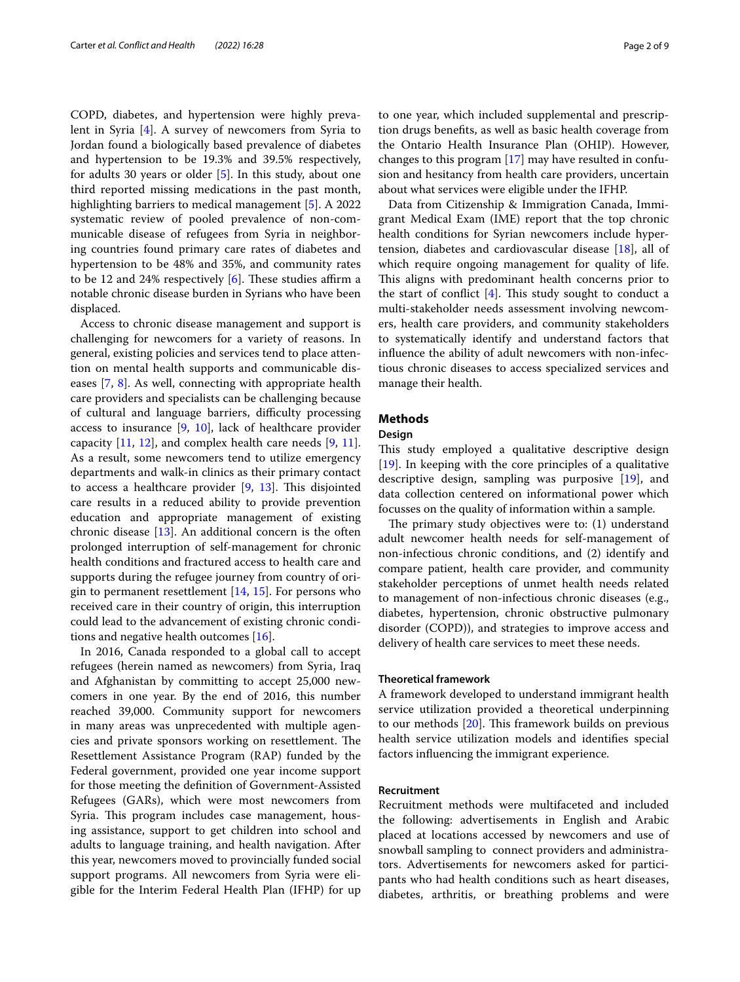COPD, diabetes, and hypertension were highly prevalent in Syria [[4\]](#page-7-3). A survey of newcomers from Syria to Jordan found a biologically based prevalence of diabetes and hypertension to be 19.3% and 39.5% respectively, for adults 30 years or older [\[5](#page-7-4)]. In this study, about one third reported missing medications in the past month, highlighting barriers to medical management [\[5](#page-7-4)]. A 2022 systematic review of pooled prevalence of non-communicable disease of refugees from Syria in neighboring countries found primary care rates of diabetes and hypertension to be 48% and 35%, and community rates to be 12 and 24% respectively  $[6]$  $[6]$ . These studies affirm a notable chronic disease burden in Syrians who have been displaced.

Access to chronic disease management and support is challenging for newcomers for a variety of reasons. In general, existing policies and services tend to place attention on mental health supports and communicable diseases [\[7](#page-7-6), [8\]](#page-7-7). As well, connecting with appropriate health care providers and specialists can be challenging because of cultural and language barriers, difficulty processing access to insurance [[9](#page-7-8), [10\]](#page-7-9), lack of healthcare provider capacity  $[11, 12]$  $[11, 12]$  $[11, 12]$  $[11, 12]$ , and complex health care needs  $[9, 11]$  $[9, 11]$ . As a result, some newcomers tend to utilize emergency departments and walk-in clinics as their primary contact to access a healthcare provider  $[9, 13]$  $[9, 13]$  $[9, 13]$ . This disjointed care results in a reduced ability to provide prevention education and appropriate management of existing chronic disease [\[13](#page-7-12)]. An additional concern is the often prolonged interruption of self-management for chronic health conditions and fractured access to health care and supports during the refugee journey from country of origin to permanent resettlement [[14,](#page-7-13) [15](#page-7-14)]. For persons who received care in their country of origin, this interruption could lead to the advancement of existing chronic conditions and negative health outcomes [\[16\]](#page-7-15).

In 2016, Canada responded to a global call to accept refugees (herein named as newcomers) from Syria, Iraq and Afghanistan by committing to accept 25,000 newcomers in one year. By the end of 2016, this number reached 39,000. Community support for newcomers in many areas was unprecedented with multiple agencies and private sponsors working on resettlement. The Resettlement Assistance Program (RAP) funded by the Federal government, provided one year income support for those meeting the defnition of Government-Assisted Refugees (GARs), which were most newcomers from Syria. This program includes case management, housing assistance, support to get children into school and adults to language training, and health navigation. After this year, newcomers moved to provincially funded social support programs. All newcomers from Syria were eligible for the Interim Federal Health Plan (IFHP) for up to one year, which included supplemental and prescription drugs benefts, as well as basic health coverage from the Ontario Health Insurance Plan (OHIP). However, changes to this program [\[17](#page-7-16)] may have resulted in confusion and hesitancy from health care providers, uncertain about what services were eligible under the IFHP.

Data from Citizenship & Immigration Canada, Immigrant Medical Exam (IME) report that the top chronic health conditions for Syrian newcomers include hypertension, diabetes and cardiovascular disease [[18\]](#page-7-17), all of which require ongoing management for quality of life. This aligns with predominant health concerns prior to the start of conflict  $[4]$  $[4]$ . This study sought to conduct a multi-stakeholder needs assessment involving newcomers, health care providers, and community stakeholders to systematically identify and understand factors that infuence the ability of adult newcomers with non-infectious chronic diseases to access specialized services and manage their health.

# **Methods**

# **Design**

This study employed a qualitative descriptive design [[19\]](#page-7-18). In keeping with the core principles of a qualitative descriptive design, sampling was purposive [\[19](#page-7-18)], and data collection centered on informational power which focusses on the quality of information within a sample.

The primary study objectives were to:  $(1)$  understand adult newcomer health needs for self-management of non-infectious chronic conditions, and (2) identify and compare patient, health care provider, and community stakeholder perceptions of unmet health needs related to management of non-infectious chronic diseases (e.g., diabetes, hypertension, chronic obstructive pulmonary disorder (COPD)), and strategies to improve access and delivery of health care services to meet these needs.

## **Theoretical framework**

A framework developed to understand immigrant health service utilization provided a theoretical underpinning to our methods  $[20]$  $[20]$ . This framework builds on previous health service utilization models and identifes special factors infuencing the immigrant experience.

## **Recruitment**

Recruitment methods were multifaceted and included the following: advertisements in English and Arabic placed at locations accessed by newcomers and use of snowball sampling to connect providers and administrators. Advertisements for newcomers asked for participants who had health conditions such as heart diseases, diabetes, arthritis, or breathing problems and were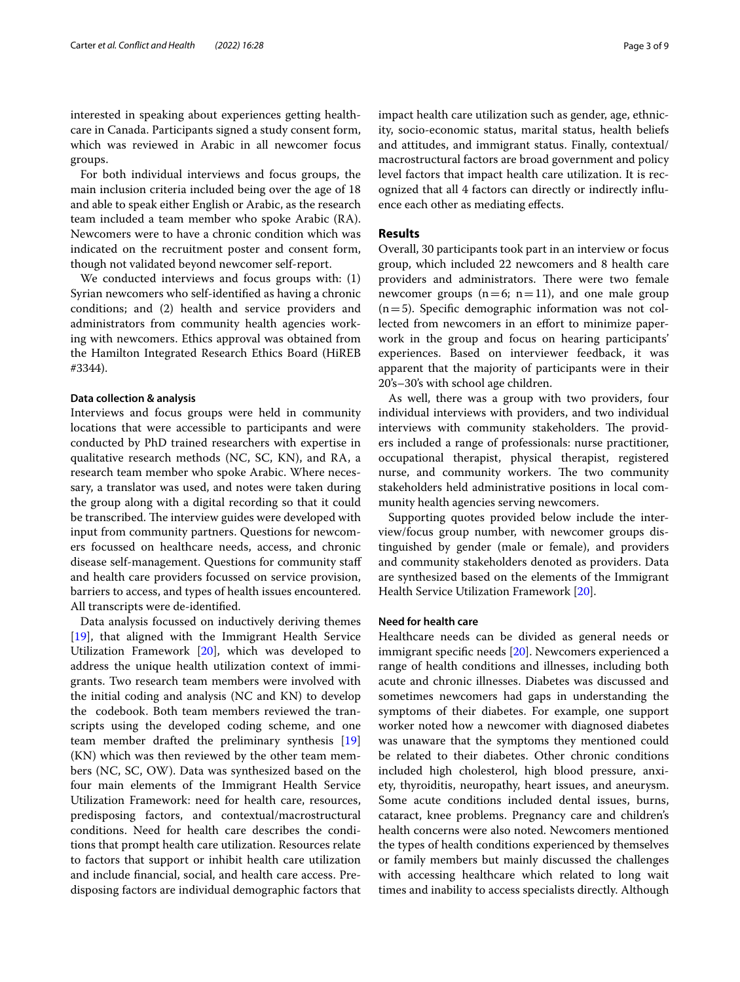interested in speaking about experiences getting healthcare in Canada. Participants signed a study consent form, which was reviewed in Arabic in all newcomer focus groups.

For both individual interviews and focus groups, the main inclusion criteria included being over the age of 18 and able to speak either English or Arabic, as the research team included a team member who spoke Arabic (RA). Newcomers were to have a chronic condition which was indicated on the recruitment poster and consent form, though not validated beyond newcomer self-report.

We conducted interviews and focus groups with: (1) Syrian newcomers who self-identifed as having a chronic conditions; and (2) health and service providers and administrators from community health agencies working with newcomers. Ethics approval was obtained from the Hamilton Integrated Research Ethics Board (HiREB #3344).

## **Data collection & analysis**

Interviews and focus groups were held in community locations that were accessible to participants and were conducted by PhD trained researchers with expertise in qualitative research methods (NC, SC, KN), and RA, a research team member who spoke Arabic. Where necessary, a translator was used, and notes were taken during the group along with a digital recording so that it could be transcribed. The interview guides were developed with input from community partners. Questions for newcomers focussed on healthcare needs, access, and chronic disease self-management. Questions for community staf and health care providers focussed on service provision, barriers to access, and types of health issues encountered. All transcripts were de-identifed.

Data analysis focussed on inductively deriving themes [[19\]](#page-7-18), that aligned with the Immigrant Health Service Utilization Framework [[20\]](#page-7-19), which was developed to address the unique health utilization context of immigrants. Two research team members were involved with the initial coding and analysis (NC and KN) to develop the codebook. Both team members reviewed the transcripts using the developed coding scheme, and one team member drafted the preliminary synthesis [[19](#page-7-18)] (KN) which was then reviewed by the other team members (NC, SC, OW). Data was synthesized based on the four main elements of the Immigrant Health Service Utilization Framework: need for health care, resources, predisposing factors, and contextual/macrostructural conditions. Need for health care describes the conditions that prompt health care utilization. Resources relate to factors that support or inhibit health care utilization and include fnancial, social, and health care access. Predisposing factors are individual demographic factors that impact health care utilization such as gender, age, ethnicity, socio-economic status, marital status, health beliefs and attitudes, and immigrant status. Finally, contextual/ macrostructural factors are broad government and policy level factors that impact health care utilization. It is recognized that all 4 factors can directly or indirectly infuence each other as mediating efects.

## **Results**

Overall, 30 participants took part in an interview or focus group, which included 22 newcomers and 8 health care providers and administrators. There were two female newcomer groups  $(n=6; n=11)$ , and one male group  $(n=5)$ . Specific demographic information was not collected from newcomers in an effort to minimize paperwork in the group and focus on hearing participants' experiences. Based on interviewer feedback, it was apparent that the majority of participants were in their 20's–30's with school age children.

As well, there was a group with two providers, four individual interviews with providers, and two individual interviews with community stakeholders. The providers included a range of professionals: nurse practitioner, occupational therapist, physical therapist, registered nurse, and community workers. The two community stakeholders held administrative positions in local community health agencies serving newcomers.

Supporting quotes provided below include the interview/focus group number, with newcomer groups distinguished by gender (male or female), and providers and community stakeholders denoted as providers. Data are synthesized based on the elements of the Immigrant Health Service Utilization Framework [[20\]](#page-7-19).

# **Need for health care**

Healthcare needs can be divided as general needs or immigrant specifc needs [\[20\]](#page-7-19). Newcomers experienced a range of health conditions and illnesses, including both acute and chronic illnesses. Diabetes was discussed and sometimes newcomers had gaps in understanding the symptoms of their diabetes. For example, one support worker noted how a newcomer with diagnosed diabetes was unaware that the symptoms they mentioned could be related to their diabetes. Other chronic conditions included high cholesterol, high blood pressure, anxiety, thyroiditis, neuropathy, heart issues, and aneurysm. Some acute conditions included dental issues, burns, cataract, knee problems. Pregnancy care and children's health concerns were also noted. Newcomers mentioned the types of health conditions experienced by themselves or family members but mainly discussed the challenges with accessing healthcare which related to long wait times and inability to access specialists directly. Although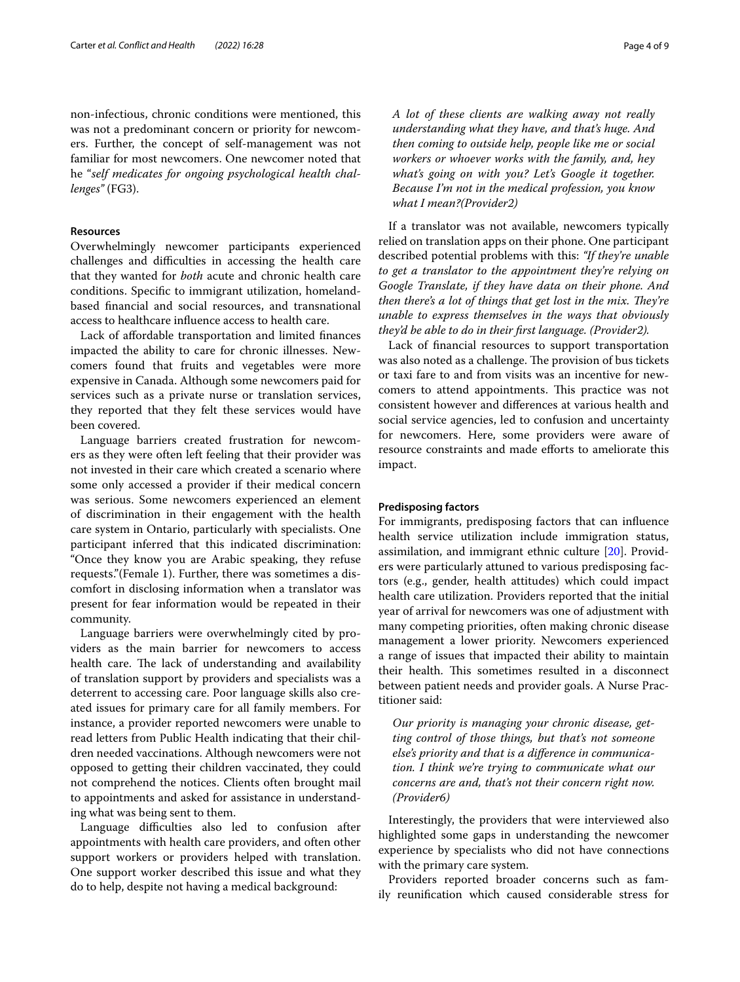non-infectious, chronic conditions were mentioned, this was not a predominant concern or priority for newcomers. Further, the concept of self-management was not familiar for most newcomers. One newcomer noted that he "*self medicates for ongoing psychological health challenges"* (FG3).

## **Resources**

Overwhelmingly newcomer participants experienced challenges and difficulties in accessing the health care that they wanted for *both* acute and chronic health care conditions. Specifc to immigrant utilization, homelandbased fnancial and social resources, and transnational access to healthcare infuence access to health care.

Lack of afordable transportation and limited fnances impacted the ability to care for chronic illnesses. Newcomers found that fruits and vegetables were more expensive in Canada. Although some newcomers paid for services such as a private nurse or translation services, they reported that they felt these services would have been covered.

Language barriers created frustration for newcomers as they were often left feeling that their provider was not invested in their care which created a scenario where some only accessed a provider if their medical concern was serious. Some newcomers experienced an element of discrimination in their engagement with the health care system in Ontario, particularly with specialists. One participant inferred that this indicated discrimination: "Once they know you are Arabic speaking, they refuse requests."(Female 1). Further, there was sometimes a discomfort in disclosing information when a translator was present for fear information would be repeated in their community.

Language barriers were overwhelmingly cited by providers as the main barrier for newcomers to access health care. The lack of understanding and availability of translation support by providers and specialists was a deterrent to accessing care. Poor language skills also created issues for primary care for all family members. For instance, a provider reported newcomers were unable to read letters from Public Health indicating that their children needed vaccinations. Although newcomers were not opposed to getting their children vaccinated, they could not comprehend the notices. Clients often brought mail to appointments and asked for assistance in understanding what was being sent to them.

Language difficulties also led to confusion after appointments with health care providers, and often other support workers or providers helped with translation. One support worker described this issue and what they do to help, despite not having a medical background:

*A lot of these clients are walking away not really understanding what they have, and that's huge. And then coming to outside help, people like me or social workers or whoever works with the family, and, hey what's going on with you? Let's Google it together. Because I'm not in the medical profession, you know what I mean?(Provider2)*

If a translator was not available, newcomers typically relied on translation apps on their phone. One participant described potential problems with this: *"If they're unable to get a translator to the appointment they're relying on Google Translate, if they have data on their phone. And then there's a lot of things that get lost in the mix. They're unable to express themselves in the ways that obviously they'd be able to do in their frst language. (Provider2).*

Lack of fnancial resources to support transportation was also noted as a challenge. The provision of bus tickets or taxi fare to and from visits was an incentive for newcomers to attend appointments. This practice was not consistent however and diferences at various health and social service agencies, led to confusion and uncertainty for newcomers. Here, some providers were aware of resource constraints and made eforts to ameliorate this impact.

# **Predisposing factors**

For immigrants, predisposing factors that can infuence health service utilization include immigration status, assimilation, and immigrant ethnic culture [\[20](#page-7-19)]. Providers were particularly attuned to various predisposing factors (e.g., gender, health attitudes) which could impact health care utilization. Providers reported that the initial year of arrival for newcomers was one of adjustment with many competing priorities, often making chronic disease management a lower priority. Newcomers experienced a range of issues that impacted their ability to maintain their health. This sometimes resulted in a disconnect between patient needs and provider goals. A Nurse Practitioner said:

*Our priority is managing your chronic disease, getting control of those things, but that's not someone else's priority and that is a diference in communication. I think we're trying to communicate what our concerns are and, that's not their concern right now. (Provider6)*

Interestingly, the providers that were interviewed also highlighted some gaps in understanding the newcomer experience by specialists who did not have connections with the primary care system.

Providers reported broader concerns such as family reunifcation which caused considerable stress for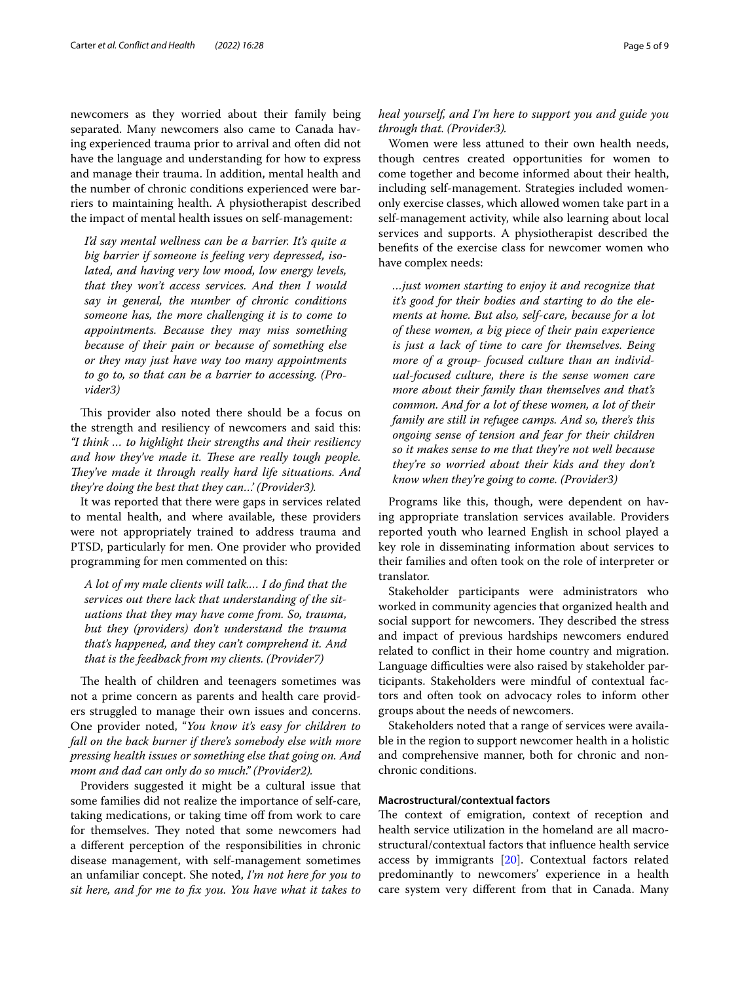newcomers as they worried about their family being separated. Many newcomers also came to Canada having experienced trauma prior to arrival and often did not have the language and understanding for how to express and manage their trauma. In addition, mental health and the number of chronic conditions experienced were barriers to maintaining health. A physiotherapist described the impact of mental health issues on self-management:

*I'd say mental wellness can be a barrier. It's quite a big barrier if someone is feeling very depressed, isolated, and having very low mood, low energy levels, that they won't access services. And then I would say in general, the number of chronic conditions someone has, the more challenging it is to come to appointments. Because they may miss something because of their pain or because of something else or they may just have way too many appointments to go to, so that can be a barrier to accessing. (Provider3)*

This provider also noted there should be a focus on the strength and resiliency of newcomers and said this: *"I think … to highlight their strengths and their resiliency and how they've made it. These are really tough people.* They've made it through really hard life situations. And *they're doing the best that they can…' (Provider3).*

It was reported that there were gaps in services related to mental health, and where available, these providers were not appropriately trained to address trauma and PTSD, particularly for men. One provider who provided programming for men commented on this:

*A lot of my male clients will talk.… I do fnd that the services out there lack that understanding of the situations that they may have come from. So, trauma, but they (providers) don't understand the trauma that's happened, and they can't comprehend it. And that is the feedback from my clients. (Provider7)*

The health of children and teenagers sometimes was not a prime concern as parents and health care providers struggled to manage their own issues and concerns. One provider noted, "*You know it's easy for children to fall on the back burner if there's somebody else with more pressing health issues or something else that going on. And mom and dad can only do so much." (Provider2).*

Providers suggested it might be a cultural issue that some families did not realize the importance of self-care, taking medications, or taking time off from work to care for themselves. They noted that some newcomers had a diferent perception of the responsibilities in chronic disease management, with self-management sometimes an unfamiliar concept. She noted, *I'm not here for you to sit here, and for me to fx you. You have what it takes to*  *heal yourself, and I'm here to support you and guide you through that. (Provider3).*

Women were less attuned to their own health needs, though centres created opportunities for women to come together and become informed about their health, including self-management. Strategies included womenonly exercise classes, which allowed women take part in a self-management activity, while also learning about local services and supports. A physiotherapist described the benefts of the exercise class for newcomer women who have complex needs:

*…just women starting to enjoy it and recognize that it's good for their bodies and starting to do the elements at home. But also, self-care, because for a lot of these women, a big piece of their pain experience is just a lack of time to care for themselves. Being more of a group- focused culture than an individual-focused culture, there is the sense women care more about their family than themselves and that's common. And for a lot of these women, a lot of their family are still in refugee camps. And so, there's this ongoing sense of tension and fear for their children so it makes sense to me that they're not well because they're so worried about their kids and they don't know when they're going to come. (Provider3)*

Programs like this, though, were dependent on having appropriate translation services available. Providers reported youth who learned English in school played a key role in disseminating information about services to their families and often took on the role of interpreter or translator.

Stakeholder participants were administrators who worked in community agencies that organized health and social support for newcomers. They described the stress and impact of previous hardships newcomers endured related to confict in their home country and migration. Language difficulties were also raised by stakeholder participants. Stakeholders were mindful of contextual factors and often took on advocacy roles to inform other groups about the needs of newcomers.

Stakeholders noted that a range of services were available in the region to support newcomer health in a holistic and comprehensive manner, both for chronic and nonchronic conditions.

# **Macrostructural/contextual factors**

The context of emigration, context of reception and health service utilization in the homeland are all macrostructural/contextual factors that infuence health service access by immigrants [\[20](#page-7-19)]. Contextual factors related predominantly to newcomers' experience in a health care system very diferent from that in Canada. Many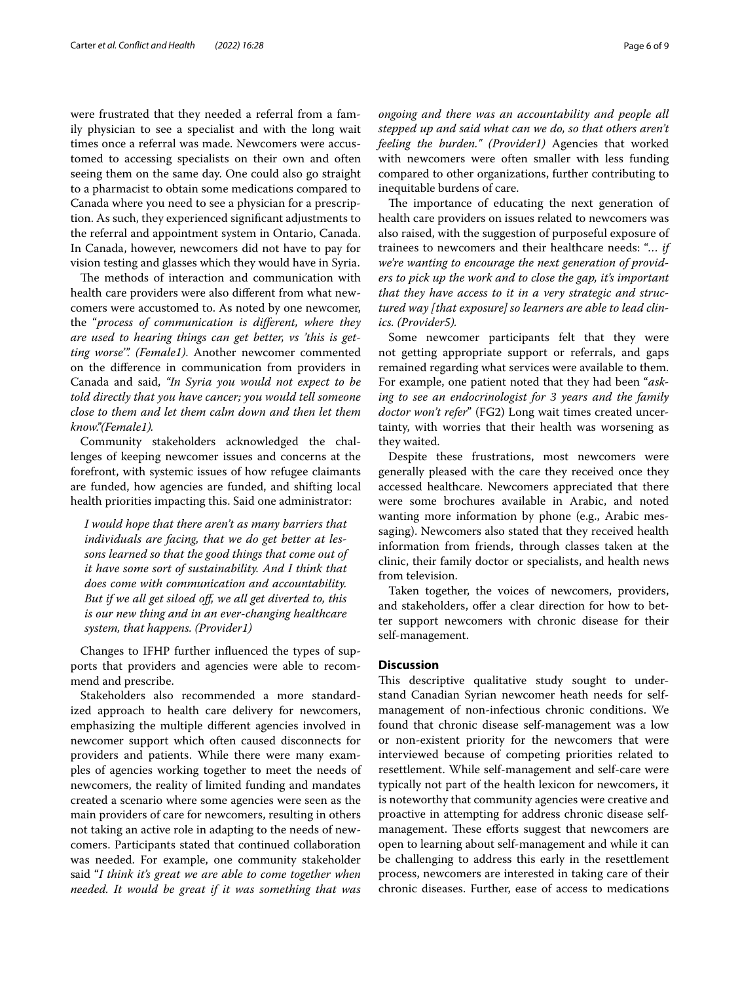were frustrated that they needed a referral from a family physician to see a specialist and with the long wait times once a referral was made. Newcomers were accustomed to accessing specialists on their own and often seeing them on the same day. One could also go straight to a pharmacist to obtain some medications compared to Canada where you need to see a physician for a prescription. As such, they experienced signifcant adjustments to the referral and appointment system in Ontario, Canada. In Canada, however, newcomers did not have to pay for vision testing and glasses which they would have in Syria.

The methods of interaction and communication with health care providers were also diferent from what newcomers were accustomed to. As noted by one newcomer, the "*process of communication is diferent, where they are used to hearing things can get better, vs 'this is getting worse'". (Female1)*. Another newcomer commented on the diference in communication from providers in Canada and said, *"In Syria you would not expect to be told directly that you have cancer; you would tell someone close to them and let them calm down and then let them know."(Female1).*

Community stakeholders acknowledged the challenges of keeping newcomer issues and concerns at the forefront, with systemic issues of how refugee claimants are funded, how agencies are funded, and shifting local health priorities impacting this. Said one administrator:

*I would hope that there aren't as many barriers that individuals are facing, that we do get better at lessons learned so that the good things that come out of it have some sort of sustainability. And I think that does come with communication and accountability. But if we all get siloed of, we all get diverted to, this is our new thing and in an ever-changing healthcare system, that happens. (Provider1)*

Changes to IFHP further infuenced the types of supports that providers and agencies were able to recommend and prescribe.

Stakeholders also recommended a more standardized approach to health care delivery for newcomers, emphasizing the multiple diferent agencies involved in newcomer support which often caused disconnects for providers and patients. While there were many examples of agencies working together to meet the needs of newcomers, the reality of limited funding and mandates created a scenario where some agencies were seen as the main providers of care for newcomers, resulting in others not taking an active role in adapting to the needs of newcomers. Participants stated that continued collaboration was needed. For example, one community stakeholder said "*I think it's great we are able to come together when needed. It would be great if it was something that was*  *ongoing and there was an accountability and people all stepped up and said what can we do, so that others aren't feeling the burden." (Provider1)* Agencies that worked with newcomers were often smaller with less funding compared to other organizations, further contributing to inequitable burdens of care.

The importance of educating the next generation of health care providers on issues related to newcomers was also raised, with the suggestion of purposeful exposure of trainees to newcomers and their healthcare needs: "… *if we're wanting to encourage the next generation of providers to pick up the work and to close the gap, it's important that they have access to it in a very strategic and structured way [that exposure] so learners are able to lead clinics. (Provider5).*

Some newcomer participants felt that they were not getting appropriate support or referrals, and gaps remained regarding what services were available to them. For example, one patient noted that they had been "*asking to see an endocrinologist for 3 years and the family doctor won't refer*" (FG2) Long wait times created uncertainty, with worries that their health was worsening as they waited.

Despite these frustrations, most newcomers were generally pleased with the care they received once they accessed healthcare. Newcomers appreciated that there were some brochures available in Arabic, and noted wanting more information by phone (e.g., Arabic messaging). Newcomers also stated that they received health information from friends, through classes taken at the clinic, their family doctor or specialists, and health news from television.

Taken together, the voices of newcomers, providers, and stakeholders, offer a clear direction for how to better support newcomers with chronic disease for their self-management.

## **Discussion**

This descriptive qualitative study sought to understand Canadian Syrian newcomer heath needs for selfmanagement of non-infectious chronic conditions. We found that chronic disease self-management was a low or non-existent priority for the newcomers that were interviewed because of competing priorities related to resettlement. While self-management and self-care were typically not part of the health lexicon for newcomers, it is noteworthy that community agencies were creative and proactive in attempting for address chronic disease selfmanagement. These efforts suggest that newcomers are open to learning about self-management and while it can be challenging to address this early in the resettlement process, newcomers are interested in taking care of their chronic diseases. Further, ease of access to medications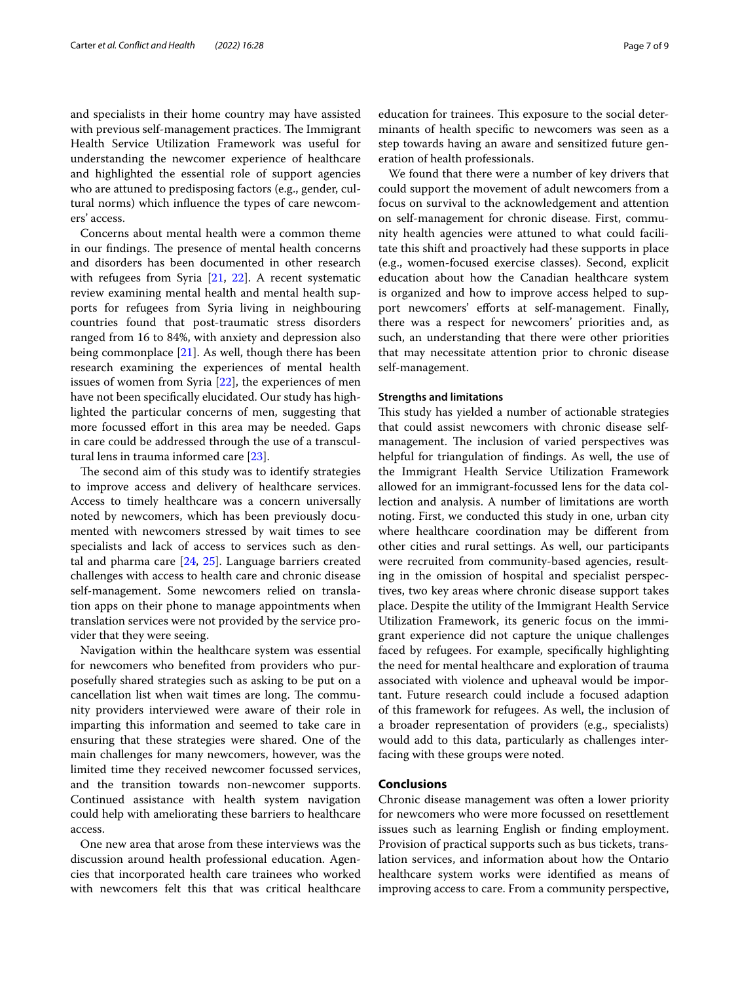and specialists in their home country may have assisted with previous self-management practices. The Immigrant Health Service Utilization Framework was useful for understanding the newcomer experience of healthcare and highlighted the essential role of support agencies who are attuned to predisposing factors (e.g., gender, cultural norms) which infuence the types of care newcomers' access.

Concerns about mental health were a common theme in our findings. The presence of mental health concerns and disorders has been documented in other research with refugees from Syria [\[21](#page-7-20), [22\]](#page-7-21). A recent systematic review examining mental health and mental health supports for refugees from Syria living in neighbouring countries found that post-traumatic stress disorders ranged from 16 to 84%, with anxiety and depression also being commonplace [\[21](#page-7-20)]. As well, though there has been research examining the experiences of mental health issues of women from Syria [[22\]](#page-7-21), the experiences of men have not been specifcally elucidated. Our study has highlighted the particular concerns of men, suggesting that more focussed effort in this area may be needed. Gaps in care could be addressed through the use of a transcultural lens in trauma informed care [[23\]](#page-7-22).

The second aim of this study was to identify strategies to improve access and delivery of healthcare services. Access to timely healthcare was a concern universally noted by newcomers, which has been previously documented with newcomers stressed by wait times to see specialists and lack of access to services such as dental and pharma care [[24,](#page-8-0) [25](#page-8-1)]. Language barriers created challenges with access to health care and chronic disease self-management. Some newcomers relied on translation apps on their phone to manage appointments when translation services were not provided by the service provider that they were seeing.

Navigation within the healthcare system was essential for newcomers who benefted from providers who purposefully shared strategies such as asking to be put on a cancellation list when wait times are long. The community providers interviewed were aware of their role in imparting this information and seemed to take care in ensuring that these strategies were shared. One of the main challenges for many newcomers, however, was the limited time they received newcomer focussed services, and the transition towards non-newcomer supports. Continued assistance with health system navigation could help with ameliorating these barriers to healthcare access.

One new area that arose from these interviews was the discussion around health professional education. Agencies that incorporated health care trainees who worked with newcomers felt this that was critical healthcare

education for trainees. This exposure to the social determinants of health specifc to newcomers was seen as a step towards having an aware and sensitized future generation of health professionals.

We found that there were a number of key drivers that could support the movement of adult newcomers from a focus on survival to the acknowledgement and attention on self-management for chronic disease. First, community health agencies were attuned to what could facilitate this shift and proactively had these supports in place (e.g., women-focused exercise classes). Second, explicit education about how the Canadian healthcare system is organized and how to improve access helped to support newcomers' efforts at self-management. Finally, there was a respect for newcomers' priorities and, as such, an understanding that there were other priorities that may necessitate attention prior to chronic disease self-management.

## **Strengths and limitations**

This study has yielded a number of actionable strategies that could assist newcomers with chronic disease selfmanagement. The inclusion of varied perspectives was helpful for triangulation of fndings. As well, the use of the Immigrant Health Service Utilization Framework allowed for an immigrant-focussed lens for the data collection and analysis. A number of limitations are worth noting. First, we conducted this study in one, urban city where healthcare coordination may be diferent from other cities and rural settings. As well, our participants were recruited from community-based agencies, resulting in the omission of hospital and specialist perspectives, two key areas where chronic disease support takes place. Despite the utility of the Immigrant Health Service Utilization Framework, its generic focus on the immigrant experience did not capture the unique challenges faced by refugees. For example, specifcally highlighting the need for mental healthcare and exploration of trauma associated with violence and upheaval would be important. Future research could include a focused adaption of this framework for refugees. As well, the inclusion of a broader representation of providers (e.g., specialists) would add to this data, particularly as challenges interfacing with these groups were noted.

# **Conclusions**

Chronic disease management was often a lower priority for newcomers who were more focussed on resettlement issues such as learning English or fnding employment. Provision of practical supports such as bus tickets, translation services, and information about how the Ontario healthcare system works were identifed as means of improving access to care. From a community perspective,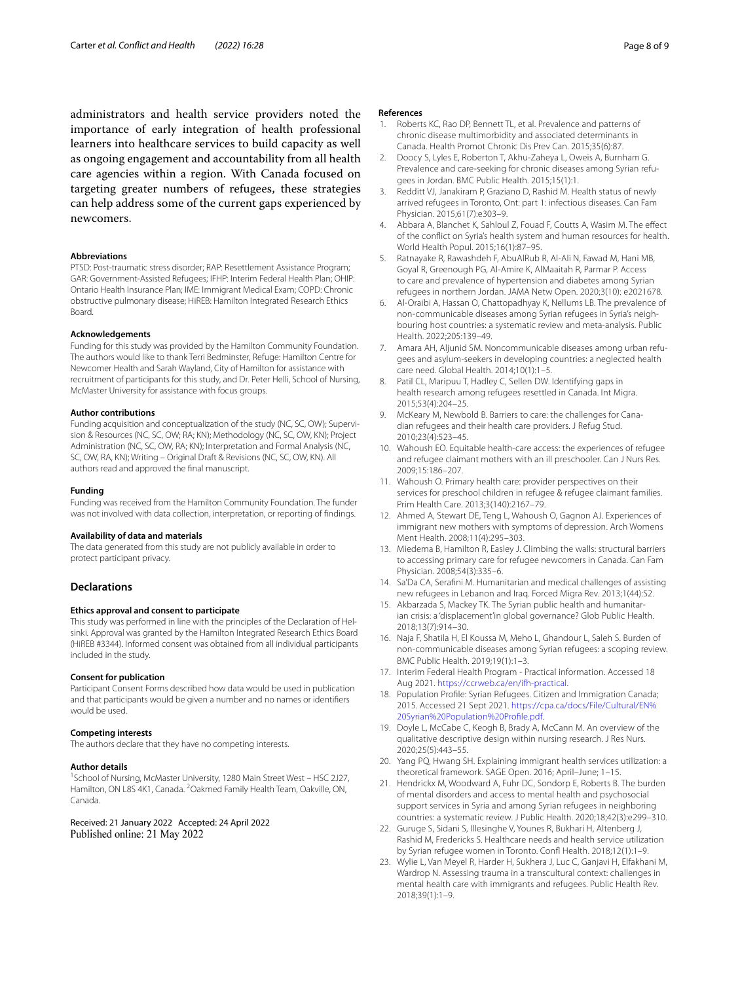administrators and health service providers noted the importance of early integration of health professional learners into healthcare services to build capacity as well as ongoing engagement and accountability from all health care agencies within a region. With Canada focused on targeting greater numbers of refugees, these strategies can help address some of the current gaps experienced by newcomers.

#### **Abbreviations**

PTSD: Post-traumatic stress disorder; RAP: Resettlement Assistance Program; GAR: Government-Assisted Refugees; IFHP: Interim Federal Health Plan; OHIP: Ontario Health Insurance Plan; IME: Immigrant Medical Exam; COPD: Chronic obstructive pulmonary disease; HiREB: Hamilton Integrated Research Ethics Board.

#### **Acknowledgements**

Funding for this study was provided by the Hamilton Community Foundation. The authors would like to thank Terri Bedminster, Refuge: Hamilton Centre for Newcomer Health and Sarah Wayland, City of Hamilton for assistance with recruitment of participants for this study, and Dr. Peter Helli, School of Nursing, McMaster University for assistance with focus groups.

#### **Author contributions**

Funding acquisition and conceptualization of the study (NC, SC, OW); Supervision & Resources (NC, SC, OW; RA; KN); Methodology (NC, SC, OW, KN); Project Administration (NC, SC, OW, RA; KN); Interpretation and Formal Analysis (NC, SC, OW, RA, KN); Writing – Original Draft & Revisions (NC, SC, OW, KN). All authors read and approved the fnal manuscript.

#### **Funding**

Funding was received from the Hamilton Community Foundation. The funder was not involved with data collection, interpretation, or reporting of fndings.

#### **Availability of data and materials**

The data generated from this study are not publicly available in order to protect participant privacy.

## **Declarations**

#### **Ethics approval and consent to participate**

This study was performed in line with the principles of the Declaration of Helsinki. Approval was granted by the Hamilton Integrated Research Ethics Board (HiREB #3344). Informed consent was obtained from all individual participants included in the study.

#### **Consent for publication**

Participant Consent Forms described how data would be used in publication and that participants would be given a number and no names or identifers would be used.

### **Competing interests**

The authors declare that they have no competing interests.

#### **Author details**

<sup>1</sup> School of Nursing, McMaster University, 1280 Main Street West - HSC 2J27, Hamilton, ON L8S 4K1, Canada. <sup>2</sup>Oakmed Family Health Team, Oakville, ON, Canada.

Received: 21 January 2022 Accepted: 24 April 2022 Published online: 21 May 2022

## **References**

- <span id="page-7-0"></span>1. Roberts KC, Rao DP, Bennett TL, et al. Prevalence and patterns of chronic disease multimorbidity and associated determinants in Canada. Health Promot Chronic Dis Prev Can. 2015;35(6):87.
- <span id="page-7-1"></span>2. Doocy S, Lyles E, Roberton T, Akhu-Zaheya L, Oweis A, Burnham G. Prevalence and care-seeking for chronic diseases among Syrian refugees in Jordan. BMC Public Health. 2015;15(1):1.
- <span id="page-7-2"></span>3. Redditt VJ, Janakiram P, Graziano D, Rashid M. Health status of newly arrived refugees in Toronto, Ont: part 1: infectious diseases. Can Fam Physician. 2015;61(7):e303–9.
- <span id="page-7-3"></span>4. Abbara A, Blanchet K, Sahloul Z, Fouad F, Coutts A, Wasim M. The efect of the confict on Syria's health system and human resources for health. World Health Popul. 2015;16(1):87–95.
- <span id="page-7-4"></span>5. Ratnayake R, Rawashdeh F, AbuAlRub R, Al-Ali N, Fawad M, Hani MB, Goyal R, Greenough PG, Al-Amire K, AlMaaitah R, Parmar P. Access to care and prevalence of hypertension and diabetes among Syrian refugees in northern Jordan. JAMA Netw Open. 2020;3(10): e2021678.
- <span id="page-7-5"></span>6. Al-Oraibi A, Hassan O, Chattopadhyay K, Nellums LB. The prevalence of non-communicable diseases among Syrian refugees in Syria's neighbouring host countries: a systematic review and meta-analysis. Public Health. 2022;205:139–49.
- <span id="page-7-6"></span>7. Amara AH, Aljunid SM. Noncommunicable diseases among urban refugees and asylum-seekers in developing countries: a neglected health care need. Global Health. 2014;10(1):1–5.
- <span id="page-7-7"></span>8. Patil CL, Maripuu T, Hadley C, Sellen DW. Identifying gaps in health research among refugees resettled in Canada. Int Migra. 2015;53(4):204–25.
- <span id="page-7-8"></span>9. McKeary M, Newbold B. Barriers to care: the challenges for Canadian refugees and their health care providers. J Refug Stud. 2010;23(4):523–45.
- <span id="page-7-9"></span>10. Wahoush EO. Equitable health-care access: the experiences of refugee and refugee claimant mothers with an ill preschooler. Can J Nurs Res. 2009;15:186–207.
- <span id="page-7-10"></span>11. Wahoush O. Primary health care: provider perspectives on their services for preschool children in refugee & refugee claimant families. Prim Health Care. 2013;3(140):2167–79.
- <span id="page-7-11"></span>12. Ahmed A, Stewart DE, Teng L, Wahoush O, Gagnon AJ. Experiences of immigrant new mothers with symptoms of depression. Arch Womens Ment Health. 2008;11(4):295–303.
- <span id="page-7-12"></span>13. Miedema B, Hamilton R, Easley J. Climbing the walls: structural barriers to accessing primary care for refugee newcomers in Canada. Can Fam Physician. 2008;54(3):335–6.
- <span id="page-7-13"></span>14. Sa'Da CA, Serafni M. Humanitarian and medical challenges of assisting new refugees in Lebanon and Iraq. Forced Migra Rev. 2013;1(44):S2.
- <span id="page-7-14"></span>15. Akbarzada S, Mackey TK. The Syrian public health and humanitarian crisis: a 'displacement'in global governance? Glob Public Health. 2018;13(7):914–30.
- <span id="page-7-15"></span>16. Naja F, Shatila H, El Koussa M, Meho L, Ghandour L, Saleh S. Burden of non-communicable diseases among Syrian refugees: a scoping review. BMC Public Health. 2019;19(1):1–3.
- <span id="page-7-16"></span>17. Interim Federal Health Program - Practical information. Accessed 18 Aug 2021.<https://ccrweb.ca/en/ifh-practical>.
- <span id="page-7-17"></span>18. Population Profle: Syrian Refugees. Citizen and Immigration Canada; 2015. Accessed 21 Sept 2021. [https://cpa.ca/docs/File/Cultural/EN%](https://cpa.ca/docs/File/Cultural/EN%20Syrian%20Population%20Profile.pdf) [20Syrian%20Population%20Profle.pdf.](https://cpa.ca/docs/File/Cultural/EN%20Syrian%20Population%20Profile.pdf)
- <span id="page-7-18"></span>19. Doyle L, McCabe C, Keogh B, Brady A, McCann M. An overview of the qualitative descriptive design within nursing research. J Res Nurs. 2020;25(5):443–55.
- <span id="page-7-19"></span>20. Yang PQ, Hwang SH. Explaining immigrant health services utilization: a theoretical framework. SAGE Open. 2016; April–June; 1–15.
- <span id="page-7-20"></span>21. Hendrickx M, Woodward A, Fuhr DC, Sondorp E, Roberts B. The burden of mental disorders and access to mental health and psychosocial support services in Syria and among Syrian refugees in neighboring countries: a systematic review. J Public Health. 2020;18;42(3):e299–310.
- <span id="page-7-21"></span>22. Guruge S, Sidani S, Illesinghe V, Younes R, Bukhari H, Altenberg J, Rashid M, Fredericks S. Healthcare needs and health service utilization by Syrian refugee women in Toronto. Confl Health. 2018;12(1):1-9.
- <span id="page-7-22"></span>23. Wylie L, Van Meyel R, Harder H, Sukhera J, Luc C, Ganjavi H, Elfakhani M, Wardrop N. Assessing trauma in a transcultural context: challenges in mental health care with immigrants and refugees. Public Health Rev. 2018;39(1):1–9.